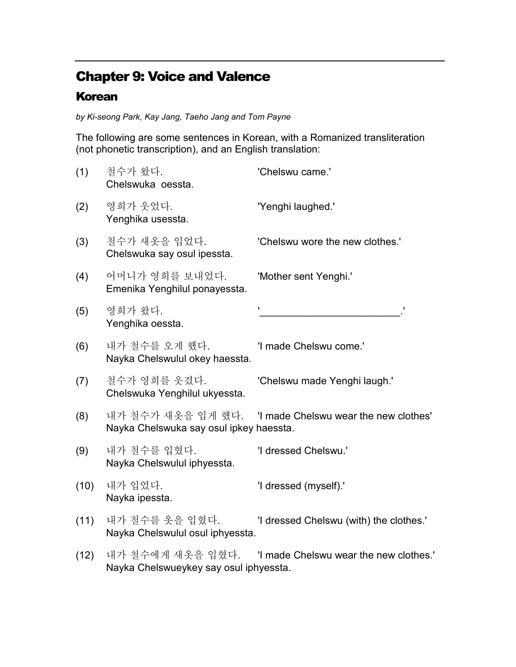## Chapter 9: Voice and Valence

## Korean

by Ki-seong Park, Kay Jang, Taeho Jang and Tom Payne

The following are some sentences in Korean, with a Romanized transliteration (not phonetic transcription), and an English translation:

| (1)  | 철수가 왔다.<br>Chelswuka oessta.                       | 'Chelswu came.'                                         |
|------|----------------------------------------------------|---------------------------------------------------------|
| (2)  | 영희가 웃었다.<br>Yenghika usessta.                      | "Yenghi laughed."                                       |
| (3)  | 철수가 새옷을 입었다.<br>Chelswuka say osul ipessta.        | 'Chelswu wore the new clothes.'                         |
| (4)  | 어머니가 영희를 보내었다.<br>Emenika Yenghilul ponayessta.    | 'Mother sent Yenghi.'                                   |
| (5)  | 영희가 왔다.<br>Yenghika oessta.                        |                                                         |
| (6)  | 내가 철수를 오게 했다.<br>Nayka Chelswulul okey haessta.    | 'I made Chelswu come.'                                  |
| (7)  | 철수가 영희를 웃겼다.<br>Chelswuka Yenghilul ukyessta.      | 'Chelswu made Yenghi laugh.'                            |
| (8)  | Nayka Chelswuka say osul ipkey haessta.            | 내가 철수가 새옷을 입게 했다. 'I made Chelswu wear the new clothes' |
| (9)  | 내가 철수를 입혔다.<br>Nayka Chelswulul iphyessta.         | 'I dressed Chelswu.'                                    |
| (10) | 내가 입었다.<br>Nayka ipessta.                          | 'I dressed (myself).'                                   |
| (11) | 내가 철수를 옷을 입혔다.<br>Nayka Chelswulul osul iphyessta. | 'I dressed Chelswu (with) the clothes.'                 |
| (12) | Nayka Chelswueykey say osul iphyessta.             |                                                         |